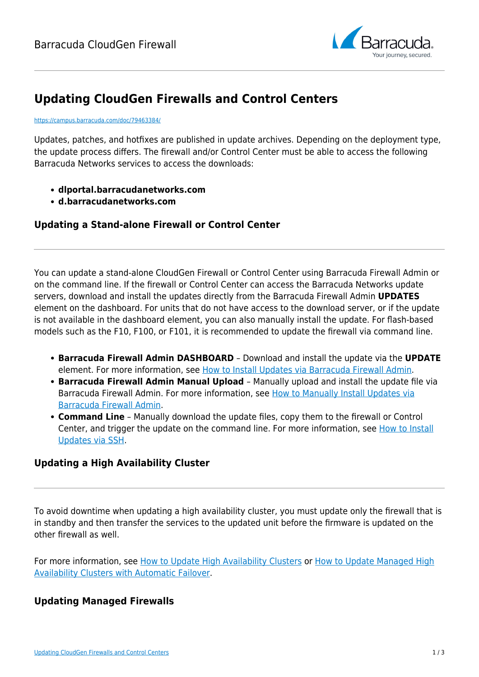

# **Updating CloudGen Firewalls and Control Centers**

#### <https://campus.barracuda.com/doc/79463384/>

Updates, patches, and hotfixes are published in update archives. Depending on the deployment type, the update process differs. The firewall and/or Control Center must be able to access the following Barracuda Networks services to access the downloads:

- **dlportal.barracudanetworks.com**
- **d.barracudanetworks.com**

### **Updating a Stand-alone Firewall or Control Center**

You can update a stand-alone CloudGen Firewall or Control Center using Barracuda Firewall Admin or on the command line. If the firewall or Control Center can access the Barracuda Networks update servers, download and install the updates directly from the Barracuda Firewall Admin **UPDATES** element on the dashboard. For units that do not have access to the download server, or if the update is not available in the dashboard element, you can also manually install the update. For flash-based models such as the F10, F100, or F101, it is recommended to update the firewall via command line.

- **Barracuda Firewall Admin DASHBOARD** Download and install the update via the **UPDATE** element. For more information, see [How to Install Updates via Barracuda Firewall Admin.](http://campus.barracuda.com/doc/79463386/)
- **Barracuda Firewall Admin Manual Upload**  Manually upload and install the update file via Barracuda Firewall Admin. For more information, see [How to Manually Install Updates via](http://campus.barracuda.com/doc/79463385/) [Barracuda Firewall Admin.](http://campus.barracuda.com/doc/79463385/)
- **Command Line** Manually download the update files, copy them to the firewall or Control Center, and trigger the update on the command line. For more information, see [How to Install](http://campus.barracuda.com/doc/79463388/) [Updates via SSH](http://campus.barracuda.com/doc/79463388/).

### **Updating a High Availability Cluster**

To avoid downtime when updating a high availability cluster, you must update only the firewall that is in standby and then transfer the services to the updated unit before the firmware is updated on the other firewall as well.

For more information, see [How to Update High Availability Clusters](http://campus.barracuda.com/doc/79463387/) or [How to Update Managed High](http://campus.barracuda.com/doc/79463168/) [Availability Clusters with Automatic Failover.](http://campus.barracuda.com/doc/79463168/)

#### **Updating Managed Firewalls**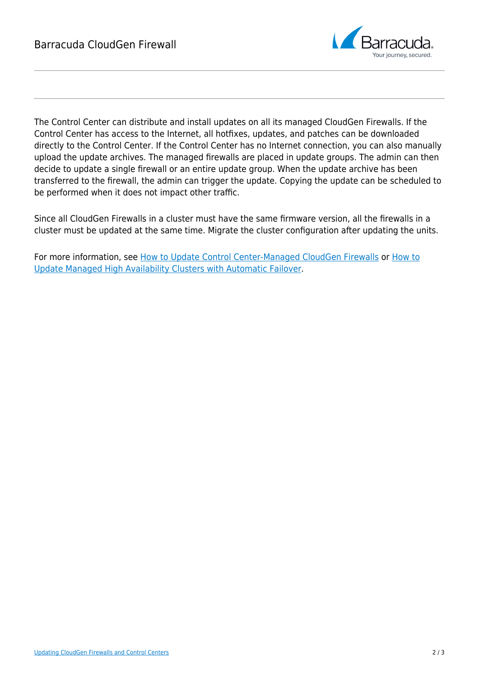

The Control Center can distribute and install updates on all its managed CloudGen Firewalls. If the Control Center has access to the Internet, all hotfixes, updates, and patches can be downloaded directly to the Control Center. If the Control Center has no Internet connection, you can also manually upload the update archives. The managed firewalls are placed in update groups. The admin can then decide to update a single firewall or an entire update group. When the update archive has been transferred to the firewall, the admin can trigger the update. Copying the update can be scheduled to be performed when it does not impact other traffic.

Since all CloudGen Firewalls in a cluster must have the same firmware version, all the firewalls in a cluster must be updated at the same time. Migrate the cluster configuration after updating the units.

For more information, see [How to Update Control Center-Managed CloudGen Firewalls](http://campus.barracuda.com/doc/79463148/) or [How to](http://campus.barracuda.com/doc/79463168/) [Update Managed High Availability Clusters with Automatic Failover.](http://campus.barracuda.com/doc/79463168/)